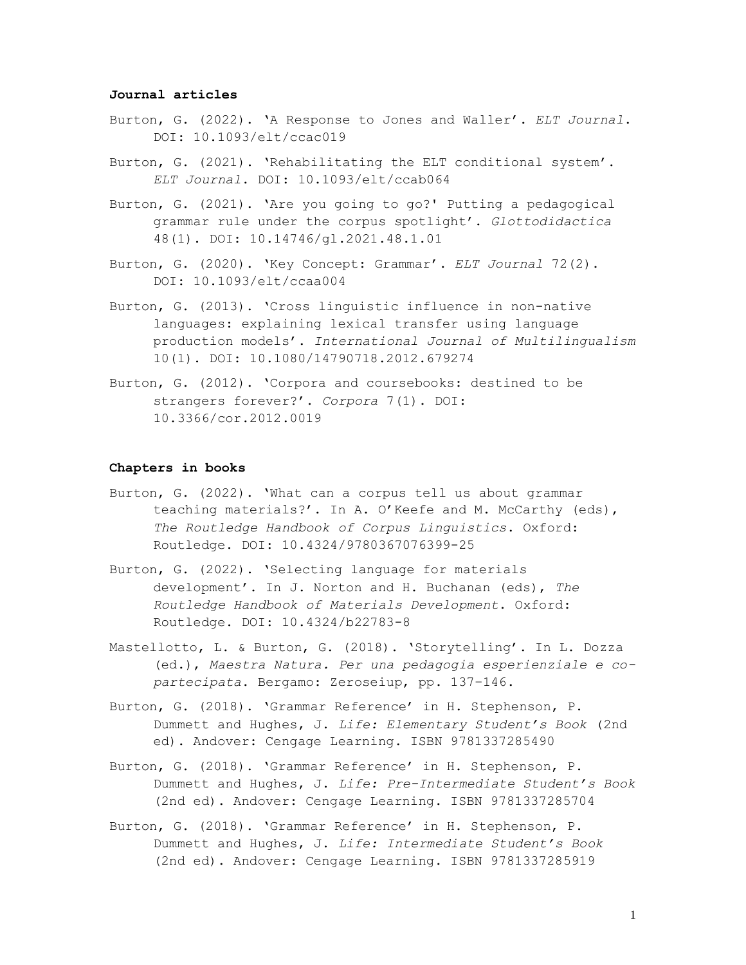### **Journal articles**

- Burton, G. (2022). '[A Response to Jones and Waller](https://academic.oup.com/eltj/advance-article-abstract/doi/10.1093/elt/ccac019/6576228)'. *ELT Journal*. DOI: [10.1093/elt/ccac019](https://academic.oup.com/eltj/advance-article-abstract/doi/10.1093/elt/ccac019/6576228)
- Burton, G. (2021[\). 'Rehabilitating the ELT conditional system'.](https://academic.oup.com/eltj/advance-article-abstract/doi/10.1093/elt/ccab064/6399097)  *ELT Journal*. DOI: [10.1093/elt/ccab064](https://academic.oup.com/eltj/advance-article-abstract/doi/10.1093/elt/ccab064/6399097)
- [Burton, G. \(2021\). 'Are you going to go?' Putting a pedagogical](https://pressto.amu.edu.pl/index.php/gl/article/view/28804)  [grammar rule under the corpus spotlight'.](https://pressto.amu.edu.pl/index.php/gl/article/view/28804) *Glottodidactica*  48(1). DOI: [10.14746/gl.2021.48.1.01](https://pressto.amu.edu.pl/index.php/gl/article/view/28804)
- Burton, G. (2020). '[Key Concept: Grammar](https://academic.oup.com/eltj/article/74/2/198/5805512)'. *ELT Journal* 72(2). [DOI: 10.1093/elt/ccaa004](https://academic.oup.com/eltj/article/74/2/198/5805512)
- Burton, G. (2013). ['Cross linguistic influence in non](https://www.tandfonline.com/doi/abs/10.1080/14790718.2012.679274)-native [languages: explaining lexical transfer using language](https://www.tandfonline.com/doi/abs/10.1080/14790718.2012.679274)  production models'. *[International Journal of Multilingualism](https://www.tandfonline.com/doi/abs/10.1080/14790718.2012.679274)* 10(1). DOI: [10.1080/14790718.2012.679274](https://www.tandfonline.com/doi/abs/10.1080/14790718.2012.679274)
- [Burton, G. \(2012\). 'Corpora and coursebooks: destined to be](https://www.euppublishing.com/doi/abs/10.3366/cor.2012.0019)  [strangers forever?'.](https://www.euppublishing.com/doi/abs/10.3366/cor.2012.0019) *Corpora* 7(1). DOI: [10.3366/cor.2012.0019](https://www.euppublishing.com/doi/abs/10.3366/cor.2012.0019)

#### **Chapters in books**

- [Burton, G. \(2022\). 'What can a corpus tell us about grammar](https://www.taylorfrancis.com/chapters/edit/10.4324/9780367076399-25/corpus-tell-us-grammar-teaching-materials-graham-burton)  [teaching materials?'. In A. O'Keefe and M. McCarthy \(eds\)](https://www.taylorfrancis.com/chapters/edit/10.4324/9780367076399-25/corpus-tell-us-grammar-teaching-materials-graham-burton), *[The Routledge Handbook of Corpus Linguistics](https://www.taylorfrancis.com/chapters/edit/10.4324/9780367076399-25/corpus-tell-us-grammar-teaching-materials-graham-burton)*. Oxford: Routledge. DOI: [10.4324/9780367076399-25](https://www.taylorfrancis.com/chapters/edit/10.4324/9780367076399-25/corpus-tell-us-grammar-teaching-materials-graham-burton)
- Burton, G. (2022). 'Selecting l[anguage for materials](https://www.taylorfrancis.com/chapters/edit/10.4324/b22783-8/selecting-language-materials-writing-graham-burton)  [development'. In J. Norton and H. Buchanan \(eds\),](https://www.taylorfrancis.com/chapters/edit/10.4324/b22783-8/selecting-language-materials-writing-graham-burton) *The [Routledge Handbook of Materials Development](https://www.taylorfrancis.com/chapters/edit/10.4324/b22783-8/selecting-language-materials-writing-graham-burton)*. Oxford: [Routledge. DOI: 10.4324/b22783-8](https://www.taylorfrancis.com/chapters/edit/10.4324/b22783-8/selecting-language-materials-writing-graham-burton)
- [Mastellotto, L. & Burton, G. \(2018\). 'Storytelling'. In L. Dozza](https://www.zeroseiup.eu/prodotto/maestra-natura/)  (ed.), *[Maestra Natura. Per una pedagogia esperienziale e co](https://www.zeroseiup.eu/prodotto/maestra-natura/)partecipata*[. Bergamo: Zeroseiup, pp. 137](https://www.zeroseiup.eu/prodotto/maestra-natura/)–146.
- Burton, G. (2018). 'Grammar Reference' in H. Stephenson, P. Dummett and Hughes, J. *Life: Elementary Student's Book* (2nd ed). Andover: Cengage Learning. ISBN 9781337285490
- Burton, G. (2018). 'Grammar Reference' in H. Stephenson, P. Dummett and Hughes, J. *Life: Pre-Intermediate Student's Book* (2nd ed). Andover: Cengage Learning. ISBN 9781337285704
- Burton, G. (2018). 'Grammar Reference' in H. Stephenson, P. Dummett and Hughes, J. *Life: Intermediate Student's Book* (2nd ed). Andover: Cengage Learning. ISBN 9781337285919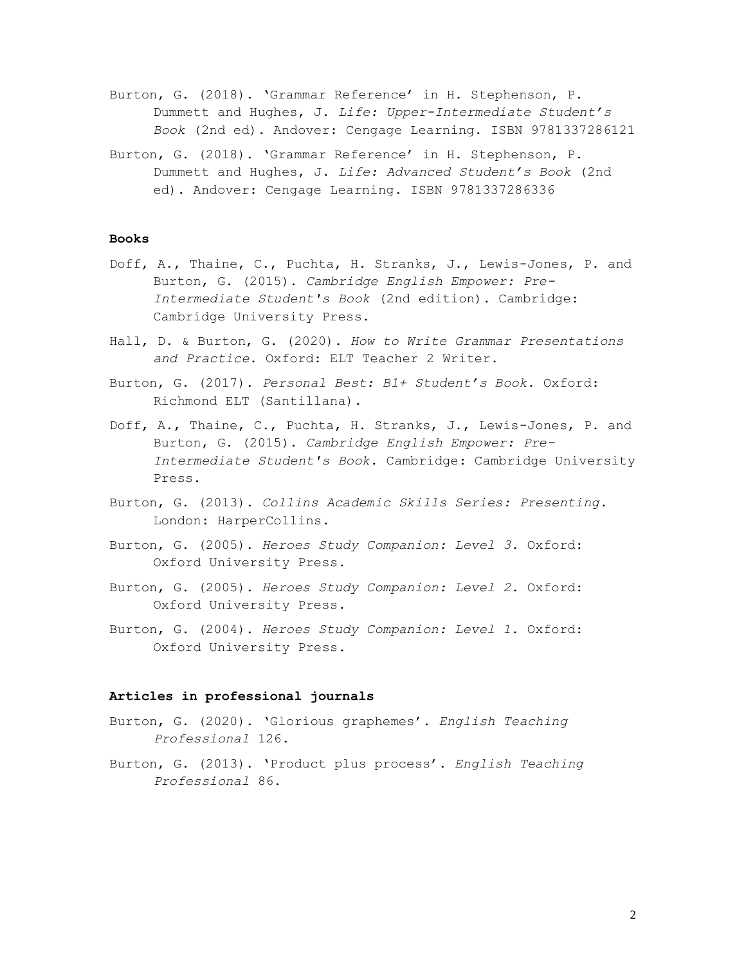- Burton, G. (2018). 'Grammar Reference' in H. Stephenson, P. Dummett and Hughes, J. *Life: Upper-Intermediate Student's Book* (2nd ed). Andover: Cengage Learning. ISBN 9781337286121
- Burton, G. (2018). 'Grammar Reference' in H. Stephenson, P. Dummett and Hughes, J. *Life: Advanced Student's Book* (2nd ed). Andover: Cengage Learning. ISBN 9781337286336

### **Books**

- Doff, A., Thaine, C., Puchta, H. Stranks, J., Lewis-Jones, P. and Burton, G. (2015). *Cambridge English Empower: Pre-Intermediate Student's Book* (2nd edition). Cambridge: Cambridge University Press.
- Hall, D. & Burton, G. (2020). *How to Write Grammar Presentations and Practice*. Oxford: ELT Teacher 2 Writer.
- Burton, G. (2017). *Personal Best: B1+ Student's Book*. Oxford: Richmond ELT (Santillana).
- Doff, A., Thaine, C., Puchta, H. Stranks, J., Lewis-Jones, P. and Burton, G. (2015). *Cambridge English Empower: Pre-Intermediate Student's Book*. Cambridge: Cambridge University Press.
- Burton, G. (2013). *Collins Academic Skills Series: Presenting*. London: HarperCollins.
- Burton, G. (2005). *Heroes Study Companion: Level 3.* Oxford: Oxford University Press.
- Burton, G. (2005). *Heroes Study Companion: Level 2.* Oxford: Oxford University Press.
- Burton, G. (2004). *Heroes Study Companion: Level 1.* Oxford: Oxford University Press.

### **Articles in professional journals**

- Burton, G. (2020). 'Glorious graphemes'. *English Teaching Professional* 126.
- Burton, G. (2013). 'Product plus process'. *English Teaching Professional* 86.